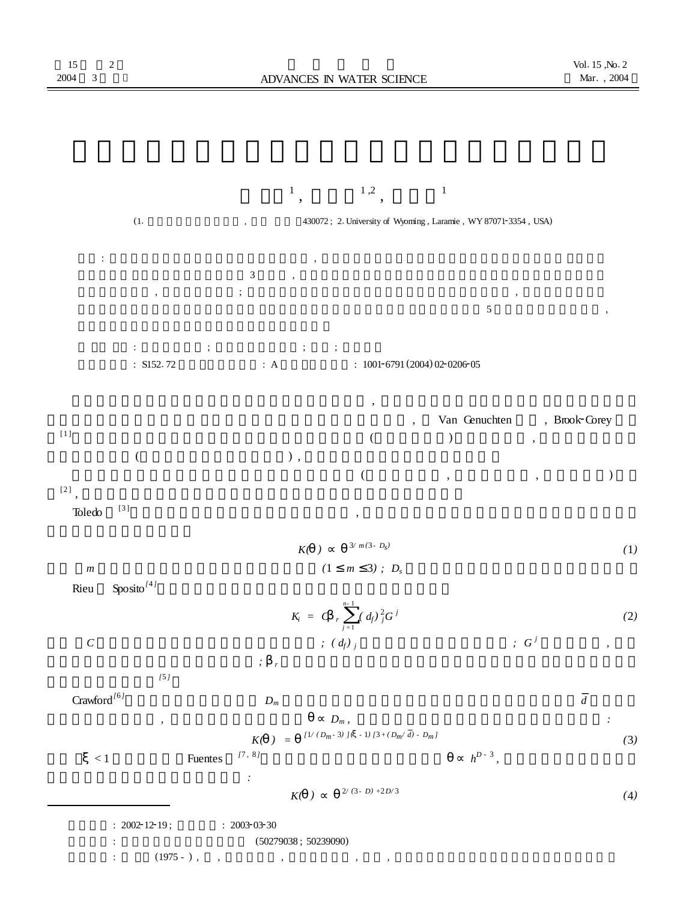

<sup>:</sup>  $2002 - 12 - 19$ ;  $\qquad 2003 - 03 - 30$ <br>:  $(5027)$ : (50279038 ; 50239090)

<sup>:</sup> (1975 - ) , , , , ,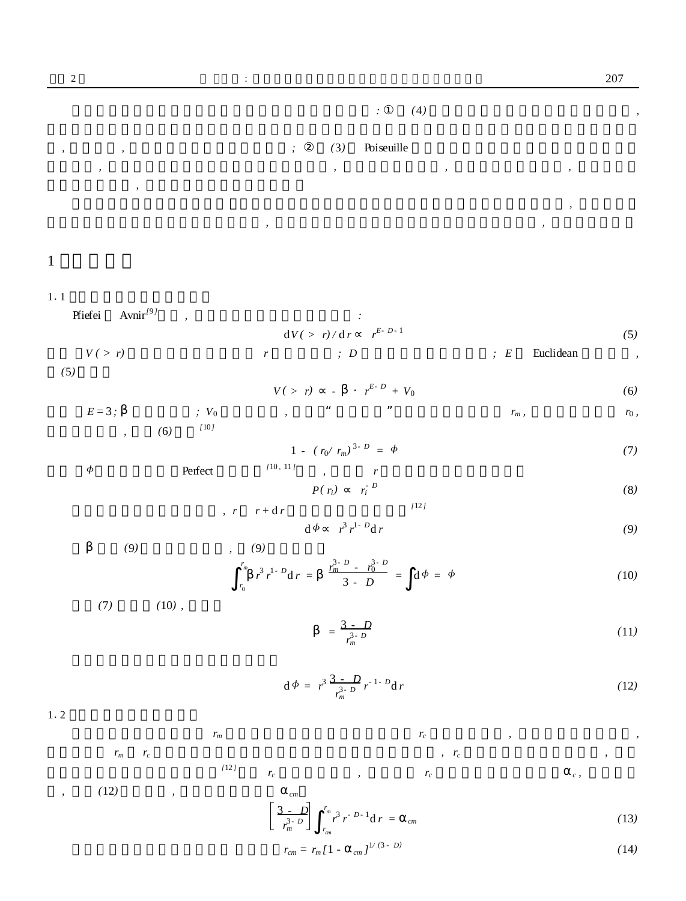## *: (*4*) ,*

## *, , ; (*3*)* Poiseuille *, , , ,*

*, , , ,*

# 1

#### 1.1

Pfiefei Avnir *[*9 *] , :*

$$
dV(> r)/dr \t r^{E-D-1} \t (5)
$$

$$
V(>r) \t\t r \t\t ; D \t\t ; E \t Euclidean \t\t ,
$$
 (5)

$$
V(> r) \qquad \qquad \cdot \qquad r^{E-D} + V_0 \tag{6}
$$

$$
E=3; \t\t ; V_0 \t\t , \t\t m, \t\t r_m, \t\t r_0,
$$

$$
1 - (r_0 / r_m)^{3 - D} = \phi \tag{7}
$$

 $\phi$  Perfect *[*10 *,* 11 *] , r*

$$
P(r_i) \qquad r_i^{\cdot D} \tag{8}
$$

$$
r \t r + dr \t\t (12)
$$

$$
\mathrm{d}\,\phi\qquad r^3\,r^{1-D}\mathrm{d}\,r\tag{9}
$$

*(*9*) , (*9*)*

$$
\int_{r_0}^{r_m} r^3 r^{1-D} dr = \frac{r_m^{3-D} - r_0^{3-D}}{3-D} = d\Phi = \Phi
$$
 (10)

*(*7*) (*10*) ,*

$$
=\frac{3-D}{r_m^{3-D}}
$$
 (11)

$$
d\Phi = r^3 \frac{3 - D}{r_m^{3 - D}} r^{-1 - D} dr \qquad (12)
$$

 $1.2$ 

$$
r_m \qquad \qquad r_c \qquad \qquad ,
$$

$$
r_m \t r_c \t\t r_c \t\t r_c \t\t r_c \t\t r_c
$$

$$
, \t(12) \t, \tcm
$$

$$
\left[\frac{3-D}{r_m^3}\right]_{r_m}^{r_m} r^3 r^{-D-1} dr =_{cm} \tag{13}
$$

$$
r_{cm} = r_m [1 - \frac{1}{cm}]^{1/(3 - D)} \tag{14}
$$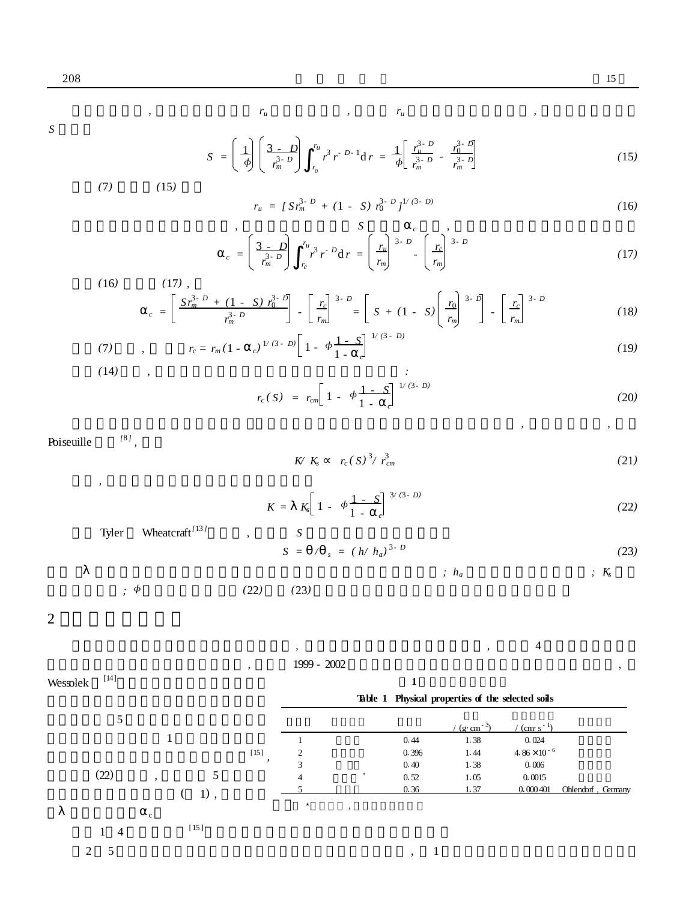$r_u$ ,  $r_u$ ,  $r_u$ ,  $r_u$ ,  $r_u$ ,  $r_u$ ,  $r_u$ ,  $r_u$ ,  $r_u$ ,  $r_u$ ,  $r_u$ ,  $r_u$ ,  $r_u$ ,  $r_u$ ,  $r_u$ ,  $r_u$ ,  $r_u$ ,  $r_u$ ,  $r_u$ ,  $r_u$ ,  $r_u$ ,  $r_u$ ,  $r_u$ ,  $r_u$ ,  $r_u$ ,  $r_u$ ,  $r_u$ ,  $r_u$ ,  $r_u$ ,  $r_u$ ,  $r_u$ ,  $r_u$ ,  $r_u$ ,  $r_u$ ,  $r_u$ ,  $r_u$ ,  $r_u$ ,

*S*

$$
S = \left(\begin{array}{c}\n\downarrow \\
\phi\n\end{array}\right) \left(\begin{array}{cc}\n3-D \\
r_m^3 & p^3r^{-D-1} \, \text{d} \, r\n\end{array}\right) = \frac{1}{\phi} \left[\begin{array}{cc}\n\frac{r_u^3 - D}{r_m^3} & \frac{r_0^3 - D}{r_m^3} \\
r_m^3 & p^3 & r_m^3\n\end{array}\right] \tag{15}
$$

*(*7*) (*15*)*

$$
r_u = [S r_m^{3-D} + (1 - S) r_0^{3-D}]^{1/(3-D)}
$$
\n(16)

$$
c = \left(\frac{3-D}{r_m^3 - D}\right)^{-r_u} r^3 r^{-D} dr = \left(\frac{r_u}{r_m}\right)^{3-D} - \left(\frac{r_c}{r_m}\right)^{3-D} \tag{17}
$$

(16) 
$$
c = \left[ \frac{S r_m^{3-D} + (1 - S) r_0^{3-D}}{r_m^{3-D}} \right] - \left[ \frac{r_c}{r_m} \right]^{3-D} = \left[ S + (1 - S) \left( \frac{r_0}{r_m} \right)^{3-D} \right] - \left[ \frac{r_c}{r_m} \right]^{3-D}
$$
(18)

(19)  
\n
$$
r_c = r_m (1 - c)^{\frac{1}{(3 - b)}} \left[ 1 - \Phi \frac{1 - c}{1 - c} \right]
$$
\n(19)

$$
r_c(S) = r_{cm} \left[ 1 - \phi \frac{1 - S}{1 - c} \right]^{1/(3 - D)}
$$
 (20)

Poiseuille *[*8 *] ,*

*,*

*K/*  $K_s$  *r<sub>c</sub>*(*S*)<sup>3</sup>/*r*<sup>3</sup><sub>*c*</sub>  $\sum_{cm}^{3}$  (21*)* 

$$
K = K_s \left[ 1 - \phi \frac{1 - S}{1 - c} \right]^{3/(3 - D)} \tag{22}
$$

Tyler Wheatcraft *[*13 *] , S* 3 *- D (*23*)*

$$
S = /_{s} = (h/h_a)^{3-D}
$$
 (23)

*; h<sup>a</sup> ; K<sup>s</sup>*

*, ,*

$$
\dot{z} \phi \qquad (22) \qquad (23)
$$

2

Wessolek

[14]

$$
\begin{array}{cccc}\n & 1999 - 2002 & \text{if } \\
\end{array}
$$

**Table 1 Physical properties of the selected soils**

**1**

/  $(g \cdot cm^{-3})$  $/$  (cm·s<sup>-1</sup>) 1 0.44 1.38 0.024 2 0.396 1.44 4.86 × 10<br>2 0.40 1.28 0.006  $4.86\times10^{-6}$  $\frac{3}{4}$  0.40 1.38 0.006  $\begin{array}{c} 2 \\ 3 \\ 4 \\ 5 \end{array}$  $0.52$   $1.05$   $0.0015$ <br> $0.26$   $1.27$   $0.00040$ 5 0.36 1.37 0.000401 Ohlendorf , Germany  $\overline{\phantom{a}}$ , 5 1 [15] ,  $(22)$  , 5  $( 1)$ , c 1 4 [15 ] 2 5 , 1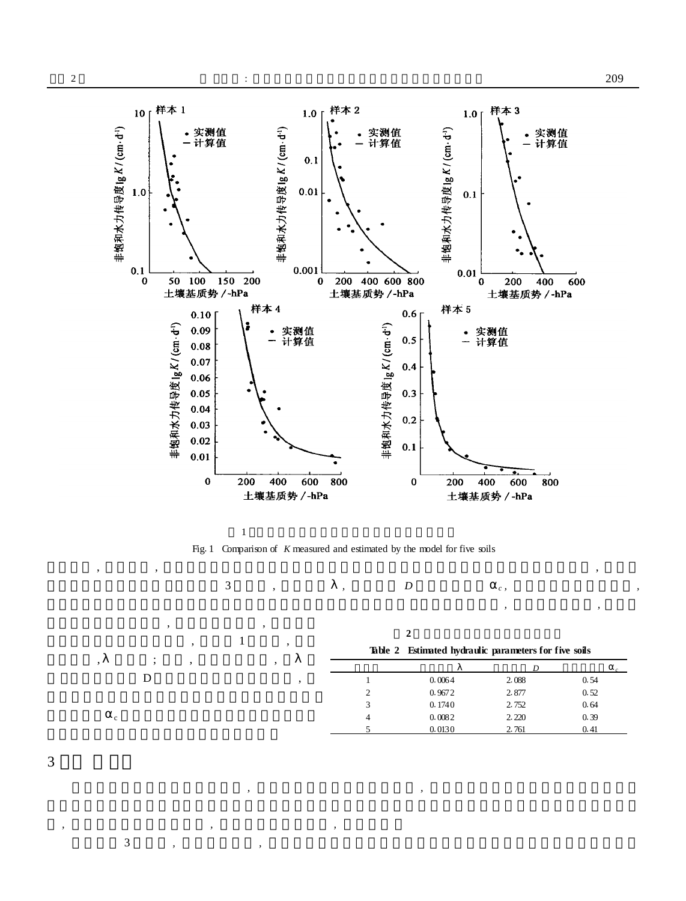

Fig. 1 Comparison of *K* measured and estimated by the model for five soils , , ,

*, ,*

3 , *, D <sup>c</sup> , ,*

, 1 ,

, ,

 $\mathbf D$ ,

, ; , ,

**2**

**Table 2 Estimated hydraulic parameters for five soils**

*, ,*

|                |        | D     |      |
|----------------|--------|-------|------|
|                | 0.0064 | 2.088 | 0.54 |
| $\overline{c}$ | 0.9672 | 2.877 | 0.52 |
| 3              | 0.1740 | 2.752 | 0.64 |
| 4              | 0.0082 | 2.220 | 0.39 |
|                | 0.0130 | 2.761 | 0.41 |



*, , ,*

c

3 *, ,*